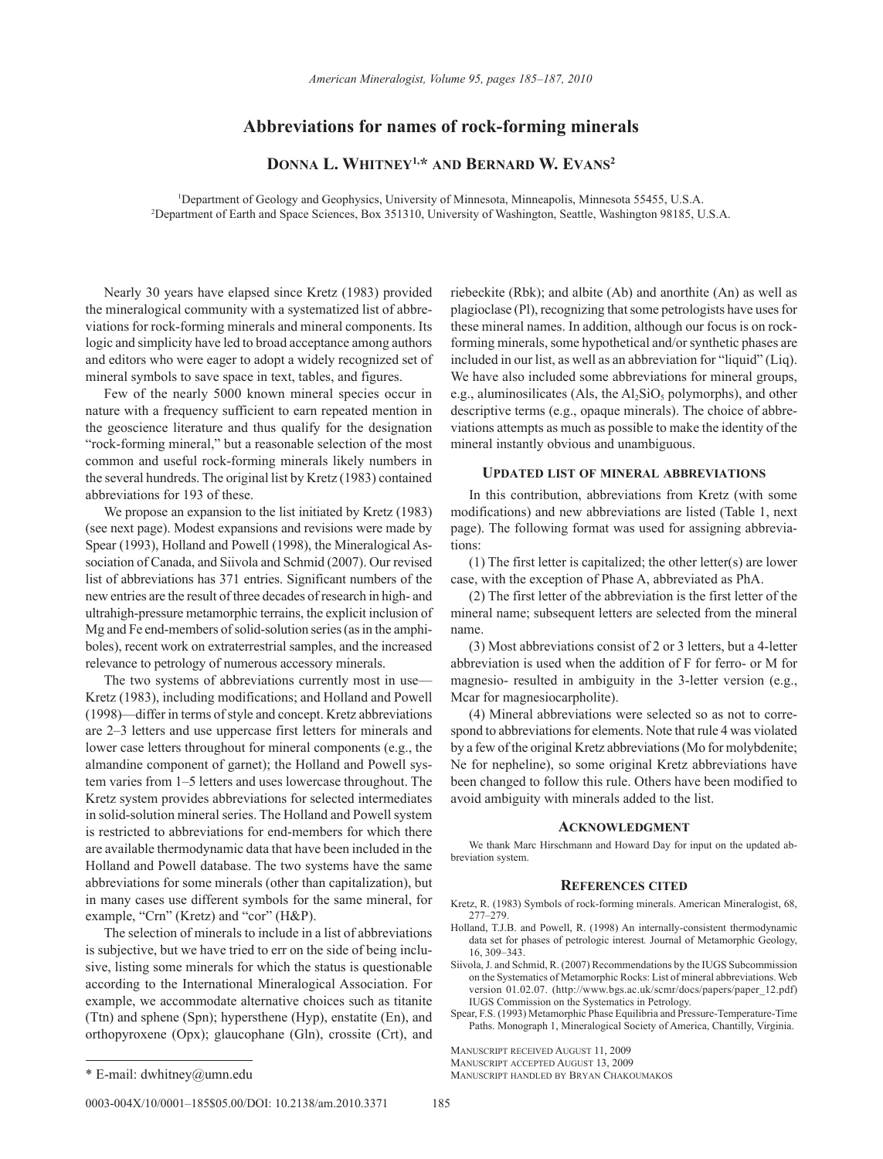# **Abbreviations for names of rock-forming minerals**

## **Donna L. Whitney1,\* and Bernard W. Evans2**

1 Department of Geology and Geophysics, University of Minnesota, Minneapolis, Minnesota 55455, U.S.A. 2 Department of Earth and Space Sciences, Box 351310, University of Washington, Seattle, Washington 98185, U.S.A.

Nearly 30 years have elapsed since Kretz (1983) provided the mineralogical community with a systematized list of abbreviations for rock-forming minerals and mineral components. Its logic and simplicity have led to broad acceptance among authors and editors who were eager to adopt a widely recognized set of mineral symbols to save space in text, tables, and figures.

Few of the nearly 5000 known mineral species occur in nature with a frequency sufficient to earn repeated mention in the geoscience literature and thus qualify for the designation "rock-forming mineral," but a reasonable selection of the most common and useful rock-forming minerals likely numbers in the several hundreds. The original list by Kretz (1983) contained abbreviations for 193 of these.

We propose an expansion to the list initiated by Kretz (1983) (see next page). Modest expansions and revisions were made by Spear (1993), Holland and Powell (1998), the Mineralogical Association of Canada, and Siivola and Schmid (2007). Our revised list of abbreviations has 371 entries. Significant numbers of the new entries are the result of three decades of research in high- and ultrahigh-pressure metamorphic terrains, the explicit inclusion of Mg and Fe end-members of solid-solution series (as in the amphiboles), recent work on extraterrestrial samples, and the increased relevance to petrology of numerous accessory minerals.

The two systems of abbreviations currently most in use— Kretz (1983), including modifications; and Holland and Powell (1998)—differ in terms of style and concept. Kretz abbreviations are 2–3 letters and use uppercase first letters for minerals and lower case letters throughout for mineral components (e.g., the almandine component of garnet); the Holland and Powell system varies from 1–5 letters and uses lowercase throughout. The Kretz system provides abbreviations for selected intermediates in solid-solution mineral series. The Holland and Powell system is restricted to abbreviations for end-members for which there are available thermodynamic data that have been included in the Holland and Powell database. The two systems have the same abbreviations for some minerals (other than capitalization), but in many cases use different symbols for the same mineral, for example, "Crn" (Kretz) and "cor" (H&P).

The selection of minerals to include in a list of abbreviations is subjective, but we have tried to err on the side of being inclusive, listing some minerals for which the status is questionable according to the International Mineralogical Association. For example, we accommodate alternative choices such as titanite (Ttn) and sphene (Spn); hypersthene (Hyp), enstatite (En), and orthopyroxene (Opx); glaucophane (Gln), crossite (Crt), and

riebeckite (Rbk); and albite (Ab) and anorthite (An) as well as plagioclase (Pl), recognizing that some petrologists have uses for these mineral names. In addition, although our focus is on rockforming minerals, some hypothetical and/or synthetic phases are included in our list, as well as an abbreviation for "liquid" (Liq). We have also included some abbreviations for mineral groups, e.g., aluminosilicates (Als, the  $Al<sub>2</sub>SiO<sub>5</sub>$  polymorphs), and other descriptive terms (e.g., opaque minerals). The choice of abbreviations attempts as much as possible to make the identity of the mineral instantly obvious and unambiguous.

#### **Updated list of mineral abbreviations**

In this contribution, abbreviations from Kretz (with some modifications) and new abbreviations are listed (Table 1, next page). The following format was used for assigning abbreviations:

(1) The first letter is capitalized; the other letter(s) are lower case, with the exception of Phase A, abbreviated as PhA.

(2) The first letter of the abbreviation is the first letter of the mineral name; subsequent letters are selected from the mineral name.

(3) Most abbreviations consist of 2 or 3 letters, but a 4-letter abbreviation is used when the addition of F for ferro- or M for magnesio- resulted in ambiguity in the 3-letter version (e.g., Mcar for magnesiocarpholite).

(4) Mineral abbreviations were selected so as not to correspond to abbreviations for elements. Note that rule 4 was violated by a few of the original Kretz abbreviations (Mo for molybdenite; Ne for nepheline), so some original Kretz abbreviations have been changed to follow this rule. Others have been modified to avoid ambiguity with minerals added to the list.

### **Acknowledgment**

We thank Marc Hirschmann and Howard Day for input on the updated abbreviation system.

#### **References cited**

- Kretz, R. (1983) Symbols of rock-forming minerals. American Mineralogist, 68, 277–279.
- Holland, T.J.B. and Powell, R. (1998) An internally-consistent thermodynamic data set for phases of petrologic interest*.* Journal of Metamorphic Geology, 16, 309–343.
- Siivola, J. and Schmid, R. (2007) Recommendations by the IUGS Subcommission on the Systematics of Metamorphic Rocks: List of mineral abbreviations. Web version 01.02.07. (http://www.bgs.ac.uk/scmr/docs/papers/paper\_12.pdf) IUGS Commission on the Systematics in Petrology.
- Spear, F.S. (1993) Metamorphic Phase Equilibria and Pressure-Temperature-Time Paths. Monograph 1, Mineralogical Society of America, Chantilly, Virginia.

Manuscript received August 11, 2009 Manuscript accepted August 13, 2009

\* E-mail: dwhitney@umn.edu Manuscript handled by Bryan Chakoumakos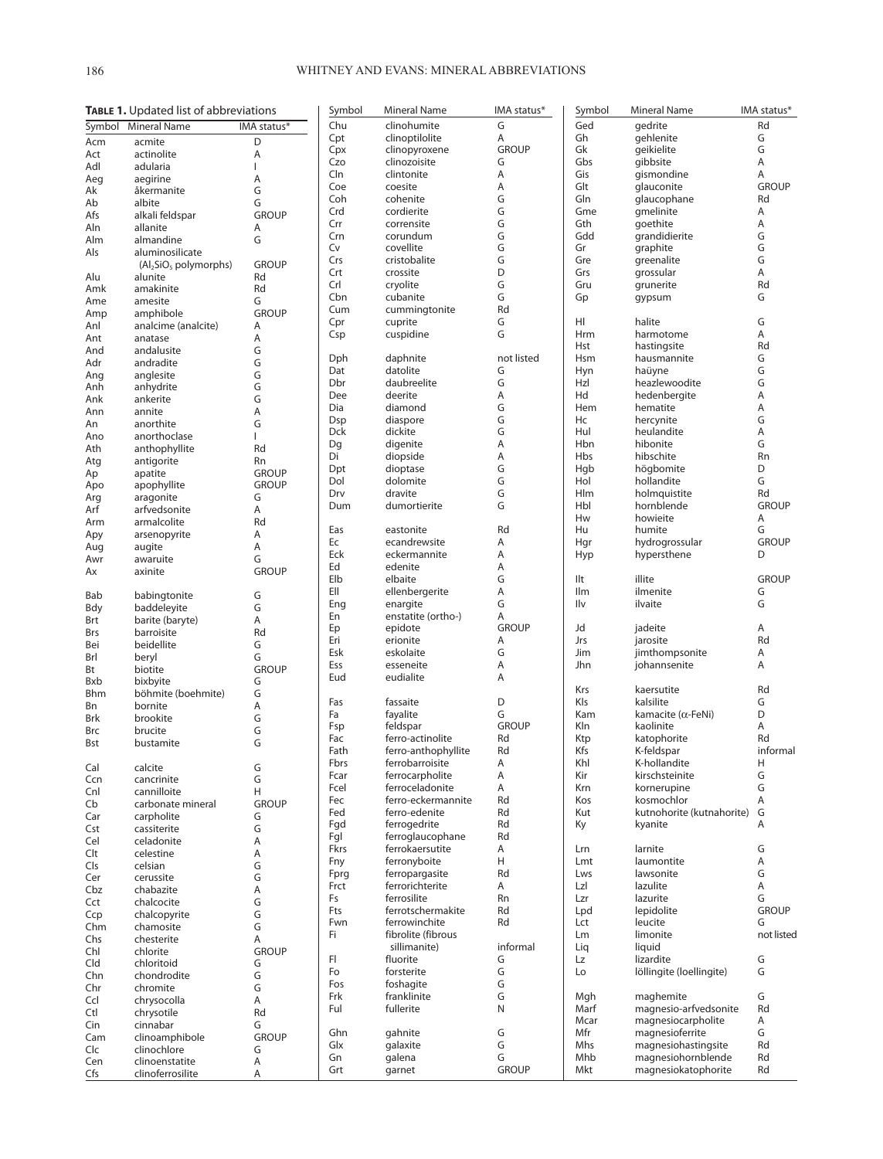|             | TABLE 1. Updated list of abbreviations |              | Symbol      | <b>Mineral Name</b>          | IMA status*        |
|-------------|----------------------------------------|--------------|-------------|------------------------------|--------------------|
|             | Symbol Mineral Name                    | IMA status*  | Chu         | clinohumite                  | G                  |
| Acm         | acmite                                 | D            | Cpt         | clinoptilolite               | Α                  |
| Act         | actinolite                             | Α            | Cpx         | clinopyroxene                | <b>GROUP</b>       |
| Adl         | adularia                               | L            | Czo         | clinozoisite                 | G                  |
| Aeg         | aegirine                               | A            | Cln<br>Coe  | clintonite<br>coesite        | Α<br>Α             |
| Ak          | åkermanite                             | G            | Coh         | cohenite                     | G                  |
| Ab          | albite                                 | G            | Crd         | cordierite                   | G                  |
| Afs         | alkali feldspar                        | <b>GROUP</b> | Crr         | corrensite                   | G                  |
| Aln         | allanite                               | Α            | Crn         | corundum                     | G                  |
| Alm<br>Als  | almandine<br>aluminosilicate           | G            | Cv          | covellite                    | G                  |
|             | $(Al2SiO5$ polymorphs)                 | <b>GROUP</b> | Crs         | cristobalite                 | G                  |
| Alu         | alunite                                | Rd           | Crt         | crossite                     | D                  |
| Amk         | amakinite                              | Rd           | Crl         | cryolite                     | G                  |
| Ame         | amesite                                | G            | Cbn         | cubanite                     | G                  |
| Amp         | amphibole                              | <b>GROUP</b> | Cum         | cummingtonite                | Rd                 |
| Anl         | analcime (analcite)                    | A            | Cpr         | cuprite                      | G                  |
| Ant         | anatase                                | Α            | Csp         | cuspidine                    | G                  |
| And         | andalusite                             | G            |             |                              |                    |
| Adr         | andradite                              | G            | Dph         | daphnite                     | not listed         |
| Ang         | anglesite                              | G            | Dat         | datolite                     | G                  |
| Anh         | anhydrite                              | G            | Dbr         | daubreelite                  | G                  |
| Ank         | ankerite                               | G            | Dee         | deerite                      | Α                  |
| Ann         | annite                                 | A            | Dia         | diamond                      | G                  |
| An          | anorthite                              | G            | Dsp         | diaspore                     | G                  |
| Ano         | anorthoclase                           | I            | Dck         | dickite<br>digenite          | G<br>A             |
| Ath         | anthophyllite                          | Rd           | Dq<br>Di    | diopside                     | Α                  |
| Atg         | antigorite                             | Rn           | Dpt         | dioptase                     | G                  |
| Ap          | apatite                                | <b>GROUP</b> | Dol         | dolomite                     | G                  |
| Apo         | apophyllite                            | <b>GROUP</b> | Drv         | dravite                      | G                  |
| Arg         | aragonite                              | G            | Dum         | dumortierite                 | G                  |
| Arf         | arfvedsonite                           | A            |             |                              |                    |
| Arm         | armalcolite                            | Rd           | Eas         | eastonite                    | Rd                 |
| Apy         | arsenopyrite                           | A<br>A       | Ec          | ecandrewsite                 | Α                  |
| Aug<br>Awr  | augite<br>awaruite                     | G            | Eck         | eckermannite                 | Α                  |
| Ax          | axinite                                | <b>GROUP</b> | Ed          | edenite                      | Α                  |
|             |                                        |              | Elb         | elbaite                      | G                  |
| Bab         | babingtonite                           | G            | EII         | ellenbergerite               | Α                  |
| Bdy         | baddeleyite                            | G            | Eng         | enargite                     | G                  |
| Brt         | barite (baryte)                        | A            | En          | enstatite (ortho-)           | Α                  |
| Brs         | barroisite                             | Rd           | Ep          | epidote                      | <b>GROUP</b>       |
| Bei         | beidellite                             | G            | Eri         | erionite                     | Α                  |
| Brl         | beryl                                  | G            | Esk         | eskolaite                    | G                  |
| Bt          | biotite                                | <b>GROUP</b> | Ess         | esseneite                    | Α                  |
| <b>B</b> xb | bixbyite                               | G            | Eud         | eudialite                    | Α                  |
| <b>Bhm</b>  | böhmite (boehmite)                     | G            |             |                              |                    |
| Bn          | bornite                                | Α            | Fas         | fassaite                     | D                  |
| Brk         | brookite                               | G            | Fa          | fayalite                     | G                  |
| Brc         | brucite                                | G            | Fsp<br>Fac  | feldspar<br>ferro-actinolite | <b>GROUP</b><br>Rd |
| Bst         | bustamite                              | G            | Fath        | ferro-anthophyllite          | Rd                 |
|             |                                        |              | <b>Fbrs</b> | ferrobarroisite              | Α                  |
| Cal         | calcite                                | G            | Fcar        | ferrocarpholite              | Α                  |
| Ccn         | cancrinite                             | G            | Fcel        | ferroceladonite              | A                  |
| Cnl         | cannilloite                            | Н            | Fec         | ferro-eckermannite           | Rd                 |
| Cb          | carbonate mineral<br>carpholite        | <b>GROUP</b> | Fed         | ferro-edenite                | Rd                 |
| Car<br>Cst  | cassiterite                            | G<br>G       | Fgd         | ferrogedrite                 | Rd                 |
| Cel         | celadonite                             | A            | Fgl         | ferroglaucophane             | Rd                 |
| Clt         | celestine                              | A            | Fkrs        | ferrokaersutite              | Α                  |
| <b>Cls</b>  | celsian                                | G            | Fny         | ferronyboite                 | H                  |
| Cer         | cerussite                              | G            | Fprg        | ferropargasite               | Rd                 |
| Cbz         | chabazite                              | A            | Frct        | ferrorichterite              | Α                  |
| Cct         | chalcocite                             | G            | Fs          | ferrosilite                  | <b>Rn</b>          |
| Ccp         | chalcopyrite                           | G            | <b>Fts</b>  | ferrotschermakite            | Rd                 |
| Chm         | chamosite                              | G            | Fwn         | ferrowinchite                | Rd                 |
| Chs         | chesterite                             | A            | Fi.         | fibrolite (fibrous           |                    |
| Chl         | chlorite                               | <b>GROUP</b> |             | sillimanite)                 | informal           |
| Cld         | chloritoid                             | G            | FI.         | fluorite                     | G                  |
| Chn         | chondrodite                            | G            | Fo          | forsterite                   | G                  |
| Chr         | chromite                               | G            | Fos         | foshagite                    | G                  |
| Ccl         | chrysocolla                            | Α            | Frk         | franklinite                  | G                  |
| Ctl         | chrysotile                             | Rd           | Ful         | fullerite                    | N                  |
| Cin         | cinnabar                               | G            |             |                              |                    |
| Cam         | clinoamphibole                         | <b>GROUP</b> | Ghn<br>Glx  | gahnite<br>galaxite          | G<br>G             |
| Clc         | clinochlore                            | G            | Gn          | galena                       | G                  |
| Cen         | clinoenstatite                         | A            | Grt         | garnet                       | <b>GROUP</b>       |
| Cfs         | clinoferrosilite                       | A            |             |                              |                    |

| Symbol     | Mineral Name                   | IMA status*  |
|------------|--------------------------------|--------------|
|            |                                |              |
| Ged<br>Gh  | gedrite                        | Rd<br>G      |
| Gk         | gehlenite<br>geikielite        | G            |
| Gbs        |                                | A            |
| Gis        | gibbsite<br>gismondine         | A            |
| Glt        | glauconite                     | <b>GROUP</b> |
| Gln        | glaucophane                    | Rd           |
| Gme        | gmelinite                      | A            |
| Gth        | goethite                       | A            |
| Gdd        | grandidierite                  | G            |
| Gr         | graphite                       | G            |
| Gre        | greenalite                     | G            |
| Grs        | grossular                      | A            |
| Gru        | grunerite                      | Rd           |
| Gp         | gypsum                         | G            |
| HI         | halite                         | G            |
| Hrm        | harmotome                      | A            |
| Hst        | hastingsite                    | Rd           |
| Hsm        | hausmannite                    | G            |
| Hyn        | haüyne                         | G            |
| Hzl        | heazlewoodite                  | G            |
| Hd         | hedenbergite                   | A            |
| Hem        | hematite                       | A            |
| Hc         | hercynite                      | G            |
| Hul        | heulandite                     | A            |
| Hbn        | hibonite                       | G            |
| Hbs        | hibschite                      | Rn           |
| Hqb        | högbomite                      | D            |
| Hol        | hollandite                     | G            |
| Hlm        | holmquistite                   | Rd           |
| Hbl        | hornblende                     | <b>GROUP</b> |
| Hw         | howieite                       | Α            |
| Hu         | humite                         | G            |
| Hgr        | hydrogrossular                 | <b>GROUP</b> |
| Hyp        | hypersthene                    | D            |
|            |                                |              |
| Ilt        | illite                         | <b>GROUP</b> |
| Ilm        | ilmenite                       | G            |
| Ilv        | ilvaite                        | G            |
| Jd         | jadeite                        | A            |
| Jrs        | jarosite                       | Rd           |
| Jim        | jimthompsonite                 | A            |
| Jhn        | johannsenite                   | A            |
|            |                                |              |
| Krs        | kaersutite                     | Rd           |
| Kls        | kalsilite                      | G            |
| Kam        | kamacite (α-FeNi)              | D            |
| Kln        | kaolinite                      | A            |
| Ktp        | katophorite                    | Rd           |
| Kfs        | K-feldspar                     | informal     |
| Khl<br>Kir | K-hollandite<br>kirschsteinite | н<br>G       |
|            |                                |              |
| Krn        | kornerupine                    | G            |
| Kos        | kosmochlor                     | Α            |
| Kut        | kutnohorite (kutnahorite)      | G<br>A       |
| Кy         | kyanite                        |              |
| Lrn        | larnite                        | G            |
| Lmt        | laumontite                     | A            |
| Lws        | lawsonite                      | G            |
| Lzl        | lazulite                       | A            |
| Lzr        | lazurite                       | G            |
| Lpd        | lepidolite                     | <b>GROUP</b> |
| Lct        | leucite                        | G            |
| Lm         | limonite                       | not listed   |
| Liq        | liquid                         |              |
| Lz         | lizardite                      | G            |
| Lo         | löllingite (loellingite)       | G            |
|            |                                | G            |
| Mgh        | maghemite                      |              |
| Marf       | magnesio-arfvedsonite          | Rd           |
| Mcar       | magnesiocarpholite             | A            |
| Mfr        | magnesioferrite                | G            |
| Mhs        | magnesiohastingsite            | Rd           |
| Mhb        | magnesiohornblende             | Rd           |
| Mkt        | magnesiokatophorite            | Rd           |